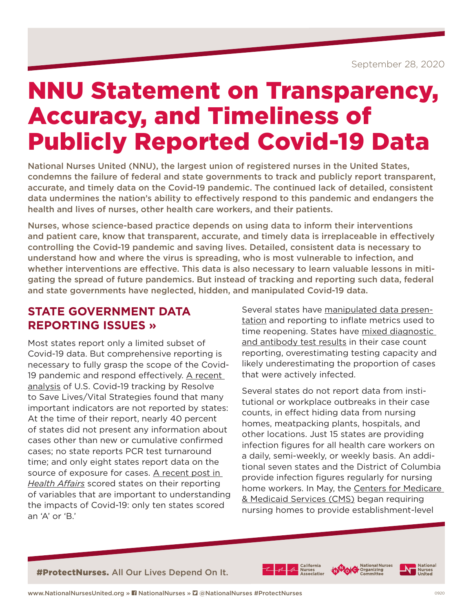# NNU Statement on Transparency, Accuracy, and Timeliness of Publicly Reported Covid-19 Data

National Nurses United (NNU), the largest union of registered nurses in the United States, condemns the failure of federal and state governments to track and publicly report transparent, accurate, and timely data on the Covid-19 pandemic. The continued lack of detailed, consistent data undermines the nation's ability to effectively respond to this pandemic and endangers the health and lives of nurses, other health care workers, and their patients.

Nurses, whose science-based practice depends on using data to inform their interventions and patient care, know that transparent, accurate, and timely data is irreplaceable in effectively controlling the Covid-19 pandemic and saving lives. Detailed, consistent data is necessary to understand how and where the virus is spreading, who is most vulnerable to infection, and whether interventions are effective. This data is also necessary to learn valuable lessons in mitigating the spread of future pandemics. But instead of tracking and reporting such data, federal and state governments have neglected, hidden, and manipulated Covid-19 data.

#### **STATE GOVERNMENT DATA REPORTING ISSUES »**

Most states report only a limited subset of Covid-19 data. But comprehensive reporting is necessary to fully grasp the scope of the Covid-19 pandemic and respond effectively. [A recent](https://preventepidemics.org/wp-content/uploads/2020/07/Tracking-COVID-19-in-the-United-States-Report.pdf)  [analysis](https://preventepidemics.org/wp-content/uploads/2020/07/Tracking-COVID-19-in-the-United-States-Report.pdf) of U.S. Covid-19 tracking by Resolve to Save Lives/Vital Strategies found that many important indicators are not reported by states: At the time of their report, nearly 40 percent of states did not present any information about cases other than new or cumulative confirmed cases; no state reports PCR test turnaround time; and only eight states report data on the source of exposure for cases. [A recent post in](https://www.healthaffairs.org/do/10.1377/hblog20200710.964611/full/)  *[Health Affairs](https://www.healthaffairs.org/do/10.1377/hblog20200710.964611/full/)* scored states on their reporting of variables that are important to understanding the impacts of Covid-19: only ten states scored an 'A' or 'B.'

Several states have [manipulated data presen](https://www.businessinsider.com/graph-shows-georgia-bungling-coronavirus-data-2020-5)[tation](https://www.businessinsider.com/graph-shows-georgia-bungling-coronavirus-data-2020-5) and reporting to inflate metrics used to time reopening. States have [mixed diagnostic](https://www.theatlantic.com/health/archive/2020/05/cdc-and-states-are-misreporting-covid-19-test-data-pennsylvania-georgia-texas/611935/)  [and antibody test results](https://www.theatlantic.com/health/archive/2020/05/cdc-and-states-are-misreporting-covid-19-test-data-pennsylvania-georgia-texas/611935/) in their case count reporting, overestimating testing capacity and likely underestimating the proportion of cases that were actively infected.

Several states do not report data from institutional or workplace outbreaks in their case counts, in effect hiding data from nursing homes, meatpacking plants, hospitals, and other locations. Just 15 states are providing infection figures for all health care workers on a daily, semi-weekly, or weekly basis. An additional seven states and the District of Columbia provide infection figures regularly for nursing home workers. In May, the [Centers for Medicare](https://data.cms.gov/Special-Programs-Initiatives-COVID-19-Nursing-Home/COVID-19-Nursing-Home-Dataset/s2uc-8wxp)  [& Medicaid Services \(CMS\)](https://data.cms.gov/Special-Programs-Initiatives-COVID-19-Nursing-Home/COVID-19-Nursing-Home-Dataset/s2uc-8wxp) began requiring nursing homes to provide establishment-level

#ProtectNurses. All Our Lives Depend On It.







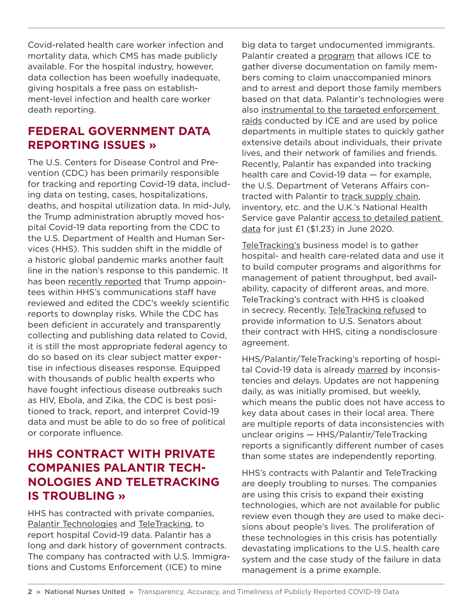Covid-related health care worker infection and mortality data, which CMS has made publicly available. For the hospital industry, however, data collection has been woefully inadequate. giving hospitals a free pass on establishment-level infection and health care worker death reporting.

### **FEDERAL GOVERNMENT DATA REPORTING ISSUES »**

The U.S. Centers for Disease Control and Prevention (CDC) has been primarily responsible for tracking and reporting Covid-19 data, including data on testing, cases, hospitalizations, deaths, and hospital utilization data. In mid-July, the Trump administration abruptly moved hospital Covid-19 data reporting from the CDC to the U.S. Department of Health and Human Services (HHS). This sudden shift in the middle of a historic global pandemic marks another fault line in the nation's response to this pandemic. It has been [recently reported](https://www.politico.com/news/2020/09/11/exclusive-trump-officials-interfered-with-cdc-reports-on-covid-19-412809) that Trump appointees within HHS's communications staff have reviewed and edited the CDC's weekly scientific reports to downplay risks. While the CDC has been deficient in accurately and transparently collecting and publishing data related to Covid, it is still the most appropriate federal agency to do so based on its clear subject matter expertise in infectious diseases response. Equipped with thousands of public health experts who have fought infectious disease outbreaks such as HIV, Ebola, and Zika, the CDC is best positioned to track, report, and interpret Covid-19 data and must be able to do so free of political or corporate influence.

### **HHS CONTRACT WITH PRIVATE COMPANIES PALANTIR TECH-NOLOGIES AND TELETRACKING IS TROUBLING »**

HHS has contracted with private companies, [Palantir Technologies](https://www.palantir.com/) and [TeleTracking](https://www.teletracking.com/resources/considering-covid-19-teletrackings-role-in-the-future-of-healthcare-operations), to report hospital Covid-19 data. Palantir has a long and dark history of government contracts. The company has contracted with U.S. Immigrations and Customs Enforcement (ICE) to mine

big data to target undocumented immigrants. Palantir created a [program](https://slate.com/technology/2019/05/documents-reveal-palantir-software-is-used-for-ice-deportations.html) that allows ICE to gather diverse documentation on family members coming to claim unaccompanied minors and to arrest and deport those family members based on that data. Palantir's technologies were also [instrumental to the targeted enforcement](https://www.vice.com/en_us/article/9kx4z8/revealed-this-is-palantirs-top-secret-user-manual-for-cops)  [raids](https://www.vice.com/en_us/article/9kx4z8/revealed-this-is-palantirs-top-secret-user-manual-for-cops) conducted by ICE and are used by police departments in multiple states to quickly gather extensive details about individuals, their private lives, and their network of families and friends. Recently, Palantir has expanded into tracking health care and Covid-19 data — for example, the U.S. Department of Veterans Affairs contracted with Palantir to [track supply chain,](https://techcrunch.com/2020/05/20/palantir-covid-19-va-contract/) inventory, etc. and the U.K.'s National Health Service gave Palantir [access to detailed patient](https://www.cnbc.com/2020/06/08/palantir-nhs-covid-19-data.html)  [data](https://www.cnbc.com/2020/06/08/palantir-nhs-covid-19-data.html) for just £1 (\$1.23) in June 2020.

[TeleTracking's](https://www.teletracking.com/about) business model is to gather hospital- and health care-related data and use it to build computer programs and algorithms for management of patient throughput, bed availability, capacity of different areas, and more. TeleTracking's contract with HHS is cloaked in secrecy. Recently, [TeleTracking refused](https://www.nytimes.com/2020/08/14/us/politics/teletracking-technologies-coronavirus-senators.html) to provide information to U.S. Senators about their contract with HHS, citing a nondisclosure agreement.

HHS/Palantir/TeleTracking's reporting of hospital Covid-19 data is already [marred](https://www.npr.org/sections/health-shots/2020/07/31/897429054/covid-19-hospital-data-system-that-bypasses-cdc-plagued-by-delays-inaccuracies) by inconsistencies and delays. Updates are not happening daily, as was initially promised, but weekly, which means the public does not have access to key data about cases in their local area. There are multiple reports of data inconsistencies with unclear origins — HHS/Palantir/TeleTracking reports a significantly different number of cases than some states are independently reporting.

HHS's contracts with Palantir and TeleTracking are deeply troubling to nurses. The companies are using this crisis to expand their existing technologies, which are not available for public review even though they are used to make decisions about people's lives. The proliferation of these technologies in this crisis has potentially devastating implications to the U.S. health care system and the case study of the failure in data management is a prime example.